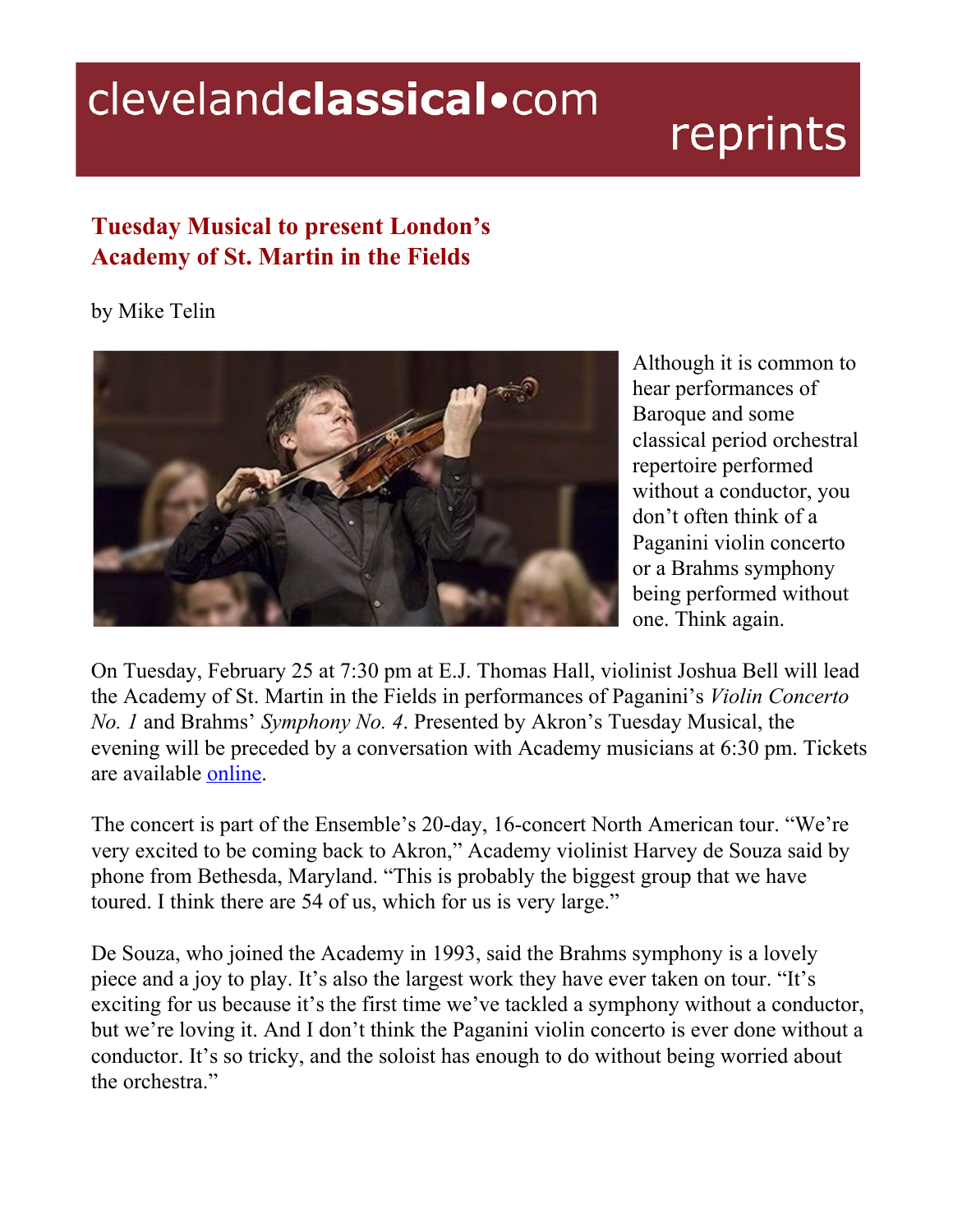## clevelandclassical.com

## reprints

## **Tuesday Musical to present London's Academy of St. Martin in the Fields**

## by Mike Telin



Although it is common to hear performances of Baroque and some classical period orchestral repertoire performed without a conductor, you don't often think of a Paganini violin concerto or a Brahms symphony being performed without one. Think again.

On Tuesday, February 25 at 7:30 pm at E.J. Thomas Hall, violinist Joshua Bell will lead the Academy of St. Martin in the Fields in performances of Paganini's *Violin Concerto No. 1* and Brahms' *Symphony No. 4*. Presented by Akron's Tuesday Musical, the evening will be preceded by a conversation with Academy musicians at 6:30 pm. Tickets are available [online](http://www.tuesdaymusical.org/).

The concert is part of the Ensemble's 20-day, 16-concert North American tour. "We're very excited to be coming back to Akron," Academy violinist Harvey de Souza said by phone from Bethesda, Maryland. "This is probably the biggest group that we have toured. I think there are 54 of us, which for us is very large."

De Souza, who joined the Academy in 1993, said the Brahms symphony is a lovely piece and a joy to play. It's also the largest work they have ever taken on tour. "It's exciting for us because it's the first time we've tackled a symphony without a conductor, but we're loving it. And I don't think the Paganini violin concerto is ever done without a conductor. It's so tricky, and the soloist has enough to do without being worried about the orchestra."